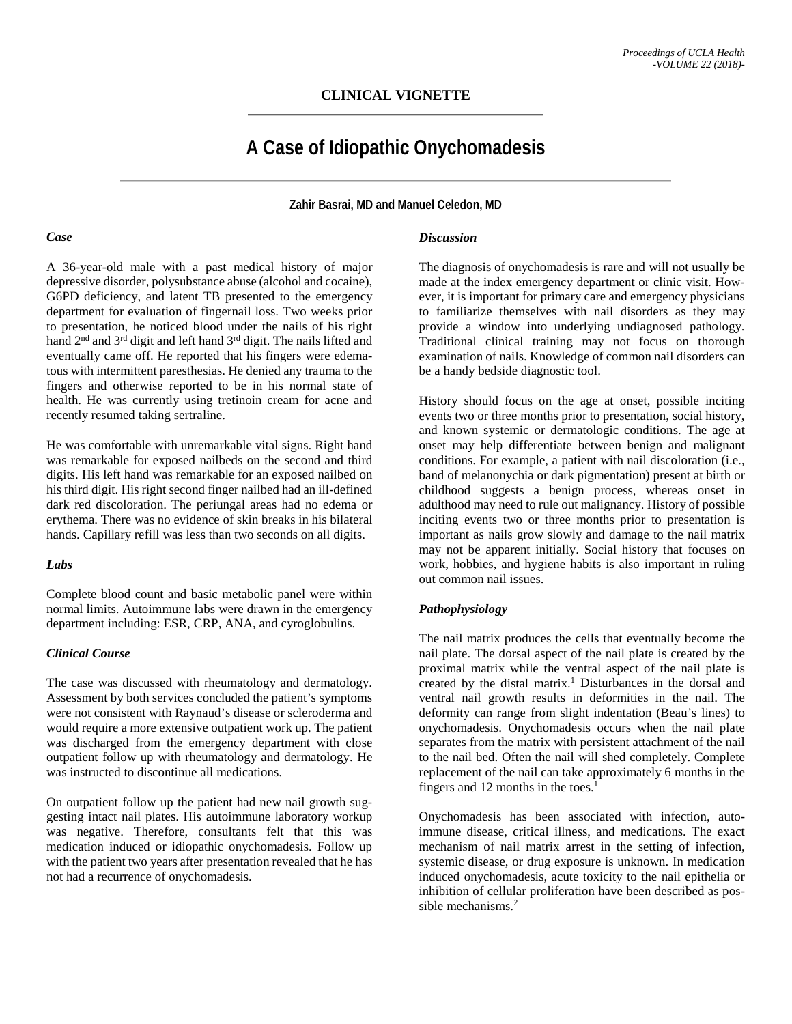# **CLINICAL VIGNETTE**

# **A Case of Idiopathic Onychomadesis**

**Zahir Basrai, MD and Manuel Celedon, MD**

#### *Case*

A 36-year-old male with a past medical history of major depressive disorder, polysubstance abuse (alcohol and cocaine), G6PD deficiency, and latent TB presented to the emergency department for evaluation of fingernail loss. Two weeks prior to presentation, he noticed blood under the nails of his right hand 2<sup>nd</sup> and 3<sup>rd</sup> digit and left hand 3<sup>rd</sup> digit. The nails lifted and eventually came off. He reported that his fingers were edematous with intermittent paresthesias. He denied any trauma to the fingers and otherwise reported to be in his normal state of health. He was currently using tretinoin cream for acne and recently resumed taking sertraline.

He was comfortable with unremarkable vital signs. Right hand was remarkable for exposed nailbeds on the second and third digits. His left hand was remarkable for an exposed nailbed on his third digit. His right second finger nailbed had an ill-defined dark red discoloration. The periungal areas had no edema or erythema. There was no evidence of skin breaks in his bilateral hands. Capillary refill was less than two seconds on all digits.

#### *Labs*

Complete blood count and basic metabolic panel were within normal limits. Autoimmune labs were drawn in the emergency department including: ESR, CRP, ANA, and cyroglobulins.

#### *Clinical Course*

The case was discussed with rheumatology and dermatology. Assessment by both services concluded the patient's symptoms were not consistent with Raynaud's disease or scleroderma and would require a more extensive outpatient work up. The patient was discharged from the emergency department with close outpatient follow up with rheumatology and dermatology. He was instructed to discontinue all medications.

On outpatient follow up the patient had new nail growth suggesting intact nail plates. His autoimmune laboratory workup was negative. Therefore, consultants felt that this was medication induced or idiopathic onychomadesis. Follow up with the patient two years after presentation revealed that he has not had a recurrence of onychomadesis.

#### *Discussion*

The diagnosis of onychomadesis is rare and will not usually be made at the index emergency department or clinic visit. However, it is important for primary care and emergency physicians to familiarize themselves with nail disorders as they may provide a window into underlying undiagnosed pathology. Traditional clinical training may not focus on thorough examination of nails. Knowledge of common nail disorders can be a handy bedside diagnostic tool.

History should focus on the age at onset, possible inciting events two or three months prior to presentation, social history, and known systemic or dermatologic conditions. The age at onset may help differentiate between benign and malignant conditions. For example, a patient with nail discoloration (i.e., band of melanonychia or dark pigmentation) present at birth or childhood suggests a benign process, whereas onset in adulthood may need to rule out malignancy. History of possible inciting events two or three months prior to presentation is important as nails grow slowly and damage to the nail matrix may not be apparent initially. Social history that focuses on work, hobbies, and hygiene habits is also important in ruling out common nail issues.

### *Pathophysiology*

The nail matrix produces the cells that eventually become the nail plate. The dorsal aspect of the nail plate is created by the proximal matrix while the ventral aspect of the nail plate is created by the distal matrix. <sup>1</sup> Disturbances in the dorsal and ventral nail growth results in deformities in the nail. The deformity can range from slight indentation (Beau's lines) to onychomadesis. Onychomadesis occurs when the nail plate separates from the matrix with persistent attachment of the nail to the nail bed. Often the nail will shed completely. Complete replacement of the nail can take approximately 6 months in the fingers and 12 months in the toes. 1

Onychomadesis has been associated with infection, autoimmune disease, critical illness, and medications. The exact mechanism of nail matrix arrest in the setting of infection, systemic disease, or drug exposure is unknown. In medication induced onychomadesis, acute toxicity to the nail epithelia or inhibition of cellular proliferation have been described as possible mechanisms. 2